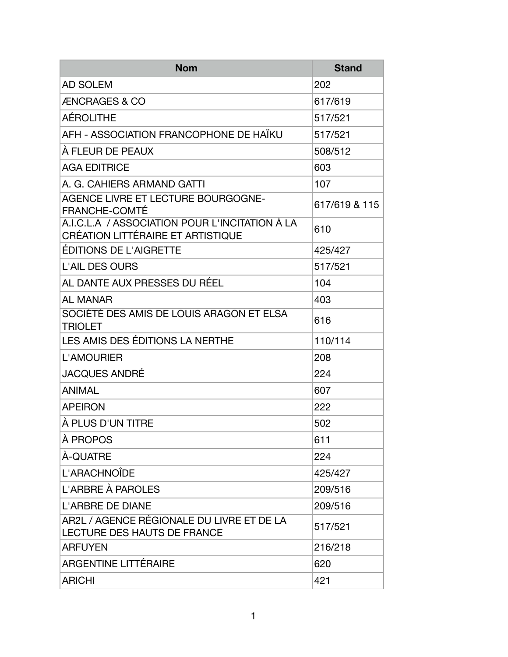| <b>Nom</b>                                                                          | <b>Stand</b>  |
|-------------------------------------------------------------------------------------|---------------|
| <b>AD SOLEM</b>                                                                     | 202           |
| <b>ÆNCRAGES &amp; CO</b>                                                            | 617/619       |
| <b>AÉROLITHE</b>                                                                    | 517/521       |
| AFH - ASSOCIATION FRANCOPHONE DE HAÏKU                                              | 517/521       |
| À FLEUR DE PEAUX                                                                    | 508/512       |
| <b>AGA EDITRICE</b>                                                                 | 603           |
| A. G. CAHIERS ARMAND GATTI                                                          | 107           |
| AGENCE LIVRE ET LECTURE BOURGOGNE-<br><b>FRANCHE-COMTÉ</b>                          | 617/619 & 115 |
| A.I.C.L.A / ASSOCIATION POUR L'INCITATION À LA<br>CRÉATION LITTÉRAIRE ET ARTISTIQUE | 610           |
| ÉDITIONS DE L'AIGRETTE                                                              | 425/427       |
| <b>L'AIL DES OURS</b>                                                               | 517/521       |
| AL DANTE AUX PRESSES DU RÉEL                                                        | 104           |
| <b>AL MANAR</b>                                                                     | 403           |
| SOCIÉTÉ DES AMIS DE LOUIS ARAGON ET ELSA<br><b>TRIOLET</b>                          | 616           |
| LES AMIS DES ÉDITIONS LA NERTHE                                                     | 110/114       |
| <b>L'AMOURIER</b>                                                                   | 208           |
| <b>JACQUES ANDRÉ</b>                                                                | 224           |
| <b>ANIMAL</b>                                                                       | 607           |
| <b>APEIRON</b>                                                                      | 222           |
| À PLUS D'UN TITRE                                                                   | 502           |
| À PROPOS                                                                            | 611           |
| À-QUATRE                                                                            | 224           |
| L'ARACHNOÎDE                                                                        | 425/427       |
| L'ARBRE À PAROLES                                                                   | 209/516       |
| <b>L'ARBRE DE DIANE</b>                                                             | 209/516       |
| AR2L / AGENCE RÉGIONALE DU LIVRE ET DE LA<br>LECTURE DES HAUTS DE FRANCE            | 517/521       |
| <b>ARFUYEN</b>                                                                      | 216/218       |
| <b>ARGENTINE LITTÉRAIRE</b>                                                         | 620           |
| <b>ARICHI</b>                                                                       | 421           |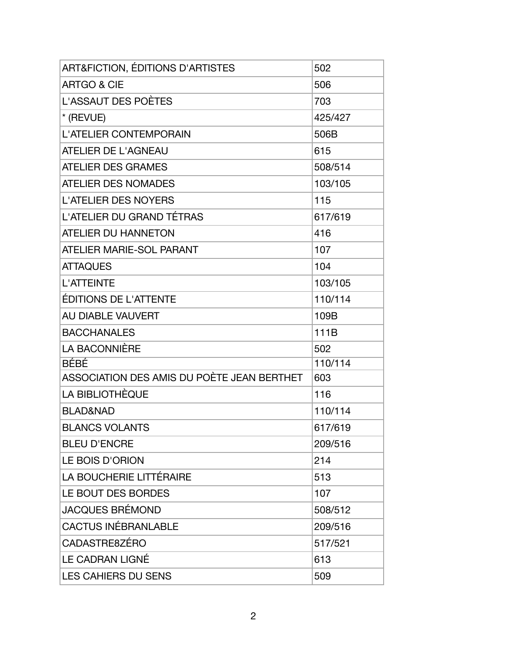| <b>ART&amp;FICTION, ÉDITIONS D'ARTISTES</b> | 502     |
|---------------------------------------------|---------|
| <b>ARTGO &amp; CIE</b>                      | 506     |
| <b>L'ASSAUT DES POÈTES</b>                  | 703     |
| * (REVUE)                                   | 425/427 |
| L'ATELIER CONTEMPORAIN                      | 506B    |
| <b>ATELIER DE L'AGNEAU</b>                  | 615     |
| <b>ATELIER DES GRAMES</b>                   | 508/514 |
| <b>ATELIER DES NOMADES</b>                  | 103/105 |
| <b>L'ATELIER DES NOYERS</b>                 | 115     |
| L'ATELIER DU GRAND TÉTRAS                   | 617/619 |
| <b>ATELIER DU HANNETON</b>                  | 416     |
| <b>ATELIER MARIE-SOL PARANT</b>             | 107     |
| <b>ATTAQUES</b>                             | 104     |
| <b>L'ATTEINTE</b>                           | 103/105 |
| <b>ÉDITIONS DE L'ATTENTE</b>                | 110/114 |
| AU DIABLE VAUVERT                           | 109B    |
| <b>BACCHANALES</b>                          | 111B    |
| <b>LA BACONNIÈRE</b>                        | 502     |
| <b>BÉBÉ</b>                                 | 110/114 |
| ASSOCIATION DES AMIS DU POÈTE JEAN BERTHET  | 603     |
| LA BIBLIOTHÈQUE                             | 116     |
| <b>BLAD&amp;NAD</b>                         | 110/114 |
| <b>BLANCS VOLANTS</b>                       | 617/619 |
| <b>BLEU D'ENCRE</b>                         | 209/516 |
| LE BOIS D'ORION                             | 214     |
| LA BOUCHERIE LITTÉRAIRE                     | 513     |
| LE BOUT DES BORDES                          | 107     |
| <b>JACQUES BRÉMOND</b>                      | 508/512 |
| <b>CACTUS INÉBRANLABLE</b>                  | 209/516 |
| CADASTRE8ZÉRO                               | 517/521 |
| LE CADRAN LIGNÉ                             | 613     |
| <b>LES CAHIERS DU SENS</b>                  | 509     |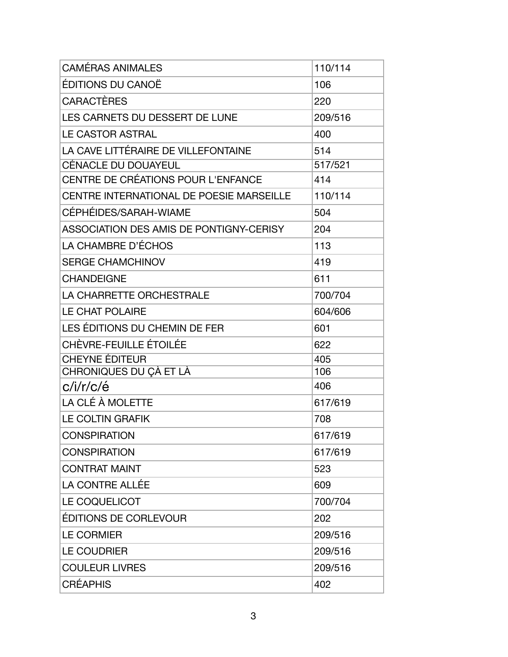| <b>CAMÉRAS ANIMALES</b>                  | 110/114 |
|------------------------------------------|---------|
| ÉDITIONS DU CANOË                        | 106     |
| CARACTÈRES                               | 220     |
| LES CARNETS DU DESSERT DE LUNE           | 209/516 |
| <b>LE CASTOR ASTRAL</b>                  | 400     |
| LA CAVE LITTÉRAIRE DE VILLEFONTAINE      | 514     |
| <b>CÉNACLE DU DOUAYEUL</b>               | 517/521 |
| CENTRE DE CRÉATIONS POUR L'ENFANCE       | 414     |
| CENTRE INTERNATIONAL DE POESIE MARSEILLE | 110/114 |
| CÉPHÉIDES/SARAH-WIAME                    | 504     |
| ASSOCIATION DES AMIS DE PONTIGNY-CERISY  | 204     |
| LA CHAMBRE D'ÉCHOS                       | 113     |
| <b>SERGE CHAMCHINOV</b>                  | 419     |
| <b>CHANDEIGNE</b>                        | 611     |
| LA CHARRETTE ORCHESTRALE                 | 700/704 |
| <b>LE CHAT POLAIRE</b>                   | 604/606 |
| LES ÉDITIONS DU CHEMIN DE FER            | 601     |
| CHÈVRE-FEUILLE ÉTOILÉE                   | 622     |
| <b>CHEYNE ÉDITEUR</b>                    | 405     |
| CHRONIQUES DU ÇÀ ET LÀ                   | 106     |
| c/i/r/c/é                                | 406     |
| LA CLÉ À MOLETTE                         | 617/619 |
| <b>LE COLTIN GRAFIK</b>                  | 708     |
| <b>CONSPIRATION</b>                      | 617/619 |
| <b>CONSPIRATION</b>                      | 617/619 |
| <b>CONTRAT MAINT</b>                     | 523     |
| <b>LA CONTRE ALLÉE</b>                   | 609     |
| LE COQUELICOT                            | 700/704 |
| ÉDITIONS DE CORLEVOUR                    | 202     |
| <b>LE CORMIER</b>                        | 209/516 |
| <b>LE COUDRIER</b>                       | 209/516 |
| <b>COULEUR LIVRES</b>                    | 209/516 |
| <b>CRÉAPHIS</b>                          | 402     |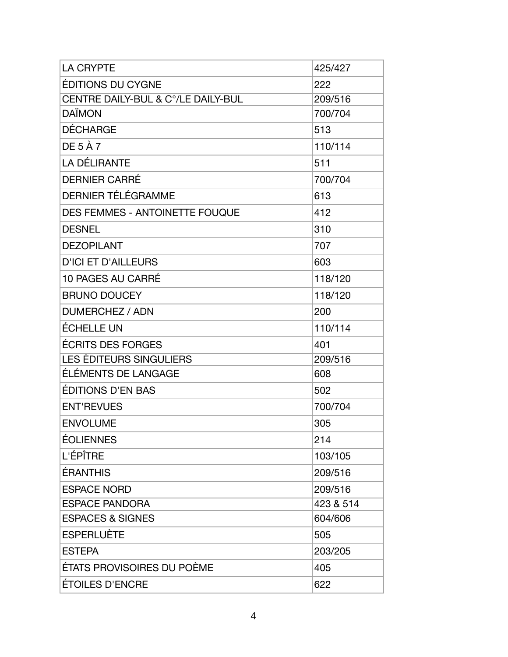| <b>LA CRYPTE</b>                   | 425/427   |
|------------------------------------|-----------|
| ÉDITIONS DU CYGNE                  | 222       |
| CENTRE DAILY-BUL & C°/LE DAILY-BUL | 209/516   |
| <b>DAÏMON</b>                      | 700/704   |
| <b>DÉCHARGE</b>                    | 513       |
| DE 5 À 7                           | 110/114   |
| LA DÉLIRANTE                       | 511       |
| <b>DERNIER CARRÉ</b>               | 700/704   |
| DERNIER TÉLÉGRAMME                 | 613       |
| DES FEMMES - ANTOINETTE FOUQUE     | 412       |
| <b>DESNEL</b>                      | 310       |
| <b>DEZOPILANT</b>                  | 707       |
| <b>D'ICI ET D'AILLEURS</b>         | 603       |
| 10 PAGES AU CARRÉ                  | 118/120   |
| <b>BRUNO DOUCEY</b>                | 118/120   |
| DUMERCHEZ / ADN                    | 200       |
| <b>ÉCHELLE UN</b>                  | 110/114   |
| ÉCRITS DES FORGES                  | 401       |
| <b>LES ÉDITEURS SINGULIERS</b>     | 209/516   |
| ÉLÉMENTS DE LANGAGE                | 608       |
| ÉDITIONS D'EN BAS                  | 502       |
| <b>ENT'REVUES</b>                  | 700/704   |
| <b>ENVOLUME</b>                    | 305       |
| ÉOLIENNES                          | 214       |
| L'ÉPÎTRE                           | 103/105   |
| ÉRANTHIS                           | 209/516   |
| <b>ESPACE NORD</b>                 | 209/516   |
| <b>ESPACE PANDORA</b>              | 423 & 514 |
| <b>ESPACES &amp; SIGNES</b>        | 604/606   |
| <b>ESPERLUÈTE</b>                  | 505       |
| <b>ESTEPA</b>                      | 203/205   |
| ÉTATS PROVISOIRES DU POÈME         | 405       |
| ÉTOILES D'ENCRE                    | 622       |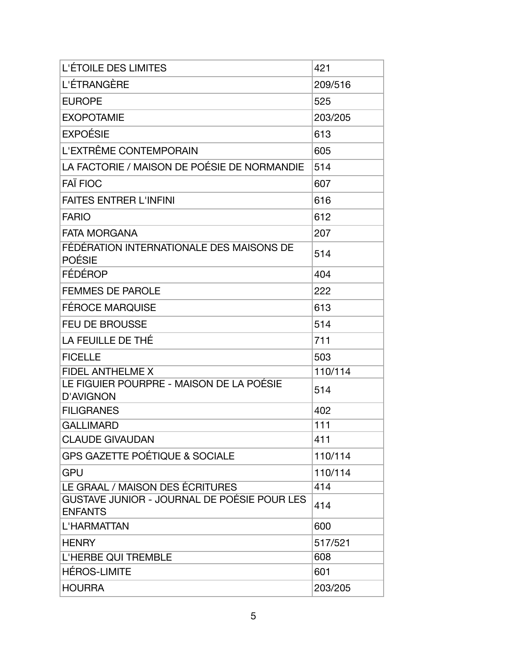| L'ÉTOILE DES LIMITES                                          | 421     |
|---------------------------------------------------------------|---------|
| L'ÉTRANGÈRE                                                   | 209/516 |
| <b>EUROPE</b>                                                 | 525     |
| <b>EXOPOTAMIE</b>                                             | 203/205 |
| <b>EXPOÉSIE</b>                                               | 613     |
| L'EXTRÊME CONTEMPORAIN                                        | 605     |
| LA FACTORIE / MAISON DE POÉSIE DE NORMANDIE                   | 514     |
| <b>FAÏ FIOC</b>                                               | 607     |
| <b>FAITES ENTRER L'INFINI</b>                                 | 616     |
| <b>FARIO</b>                                                  | 612     |
| <b>FATA MORGANA</b>                                           | 207     |
| FÉDÉRATION INTERNATIONALE DES MAISONS DE<br>POÉSIE            | 514     |
| FÉDÉROP                                                       | 404     |
| <b>FEMMES DE PAROLE</b>                                       | 222     |
| <b>FÉROCE MARQUISE</b>                                        | 613     |
| <b>FEU DE BROUSSE</b>                                         | 514     |
| LA FEUILLE DE THÉ                                             | 711     |
| <b>FICELLE</b>                                                | 503     |
| <b>FIDEL ANTHELME X</b>                                       | 110/114 |
| LE FIGUIER POURPRE - MAISON DE LA POÉSIE<br><b>D'AVIGNON</b>  | 514     |
| <b>FILIGRANES</b>                                             | 402     |
| <b>GALLIMARD</b>                                              | 111     |
| <b>CLAUDE GIVAUDAN</b>                                        | 411     |
| <b>GPS GAZETTE POÉTIQUE &amp; SOCIALE</b>                     | 110/114 |
| <b>GPU</b>                                                    | 110/114 |
| LE GRAAL / MAISON DES ÉCRITURES                               | 414     |
| GUSTAVE JUNIOR - JOURNAL DE POÉSIE POUR LES<br><b>ENFANTS</b> | 414     |
| L'HARMATTAN                                                   | 600     |
| <b>HENRY</b>                                                  | 517/521 |
| <b>L'HERBE QUI TREMBLE</b>                                    | 608     |
| HÉROS-LIMITE                                                  | 601     |
| <b>HOURRA</b>                                                 | 203/205 |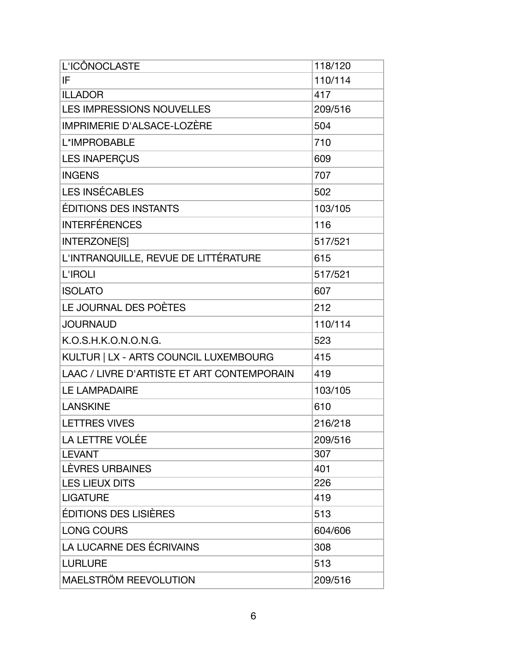| L'ICÔNOCLASTE                              | 118/120 |
|--------------------------------------------|---------|
| IF                                         | 110/114 |
| <b>ILLADOR</b>                             | 417     |
| <b>LES IMPRESSIONS NOUVELLES</b>           | 209/516 |
| IMPRIMERIE D'ALSACE-LOZÈRE                 | 504     |
| L*IMPROBABLE                               | 710     |
| <b>LES INAPERÇUS</b>                       | 609     |
| <b>INGENS</b>                              | 707     |
| <b>LES INSÉCABLES</b>                      | 502     |
| <b>ÉDITIONS DES INSTANTS</b>               | 103/105 |
| <b>INTERFÉRENCES</b>                       | 116     |
| <b>INTERZONE[S]</b>                        | 517/521 |
| L'INTRANQUILLE, REVUE DE LITTÉRATURE       | 615     |
| <b>L'IROLI</b>                             | 517/521 |
| <b>ISOLATO</b>                             | 607     |
| LE JOURNAL DES POÈTES                      | 212     |
| <b>JOURNAUD</b>                            | 110/114 |
| K.O.S.H.K.O.N.O.N.G.                       | 523     |
| KULTUR   LX - ARTS COUNCIL LUXEMBOURG      | 415     |
| LAAC / LIVRE D'ARTISTE ET ART CONTEMPORAIN | 419     |
| <b>LE LAMPADAIRE</b>                       | 103/105 |
| <b>LANSKINE</b>                            | 610     |
| <b>LETTRES VIVES</b>                       | 216/218 |
| <b>LA LETTRE VOLÉE</b>                     | 209/516 |
| <b>LEVANT</b>                              | 307     |
| LÈVRES URBAINES                            | 401     |
| <b>LES LIEUX DITS</b>                      | 226     |
| <b>LIGATURE</b>                            | 419     |
| ÉDITIONS DES LISIÈRES                      | 513     |
| <b>LONG COURS</b>                          | 604/606 |
| LA LUCARNE DES ÉCRIVAINS                   | 308     |
| <b>LURLURE</b>                             | 513     |
| MAELSTRÖM REEVOLUTION                      | 209/516 |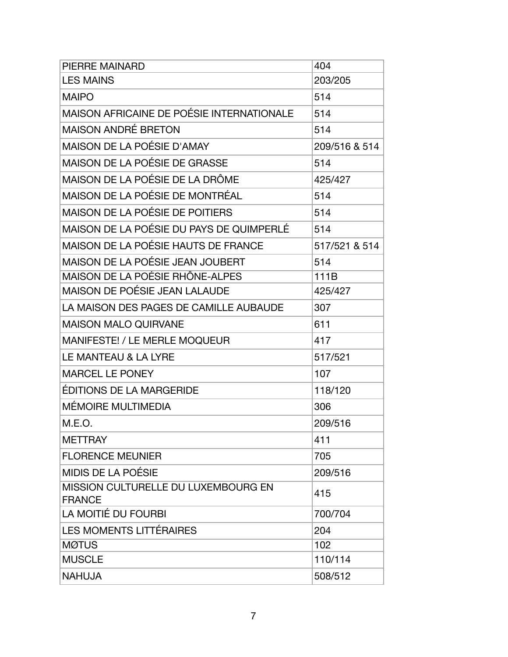| PIERRE MAINARD                                       | 404           |
|------------------------------------------------------|---------------|
| <b>LES MAINS</b>                                     | 203/205       |
| <b>MAIPO</b>                                         | 514           |
| MAISON AFRICAINE DE POÉSIE INTERNATIONALE            | 514           |
| <b>MAISON ANDRÉ BRETON</b>                           | 514           |
| <b>MAISON DE LA POÉSIE D'AMAY</b>                    | 209/516 & 514 |
| MAISON DE LA POÉSIE DE GRASSE                        | 514           |
| MAISON DE LA POÉSIE DE LA DRÔME                      | 425/427       |
| MAISON DE LA POÉSIE DE MONTRÉAL                      | 514           |
| MAISON DE LA POÉSIE DE POITIERS                      | 514           |
| MAISON DE LA POÉSIE DU PAYS DE QUIMPERLÉ             | 514           |
| MAISON DE LA POÉSIE HAUTS DE FRANCE                  | 517/521 & 514 |
| MAISON DE LA POÉSIE JEAN JOUBERT                     | 514           |
| MAISON DE LA POÉSIE RHÔNE-ALPES                      | 111B          |
| MAISON DE POÉSIE JEAN LALAUDE                        | 425/427       |
| LA MAISON DES PAGES DE CAMILLE AUBAUDE               | 307           |
| <b>MAISON MALO QUIRVANE</b>                          | 611           |
| <b>MANIFESTE! / LE MERLE MOQUEUR</b>                 | 417           |
| LE MANTEAU & LA LYRE                                 | 517/521       |
| <b>MARCEL LE PONEY</b>                               | 107           |
| ÉDITIONS DE LA MARGERIDE                             | 118/120       |
| <b>MÉMOIRE MULTIMEDIA</b>                            | 306           |
| M.E.O.                                               | 209/516       |
| <b>METTRAY</b>                                       | 411           |
| <b>FLORENCE MEUNIER</b>                              | 705           |
| MIDIS DE LA POÉSIE                                   | 209/516       |
| MISSION CULTURELLE DU LUXEMBOURG EN<br><b>FRANCE</b> | 415           |
| LA MOITIÉ DU FOURBI                                  | 700/704       |
| <b>LES MOMENTS LITTÉRAIRES</b>                       | 204           |
| <b>MØTUS</b>                                         | 102           |
| <b>MUSCLE</b>                                        | 110/114       |
| <b>NAHUJA</b>                                        | 508/512       |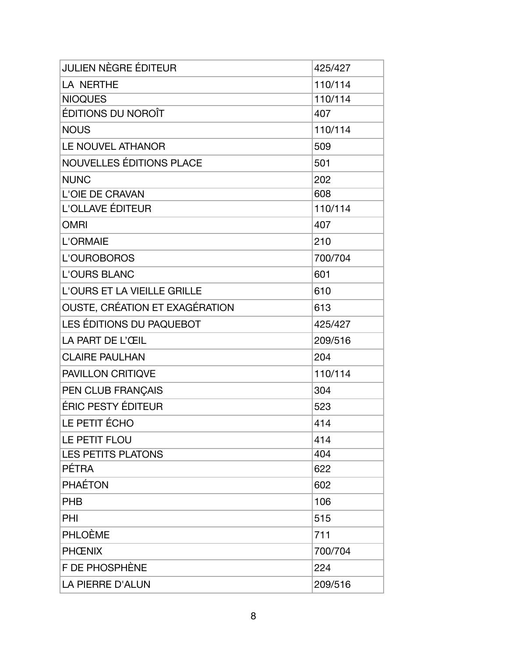| <b>JULIEN NÈGRE ÉDITEUR</b>    | 425/427 |
|--------------------------------|---------|
| LA NERTHE                      | 110/114 |
| <b>NIOQUES</b>                 | 110/114 |
| ÉDITIONS DU NOROÎT             | 407     |
| <b>NOUS</b>                    | 110/114 |
| LE NOUVEL ATHANOR              | 509     |
| NOUVELLES ÉDITIONS PLACE       | 501     |
| <b>NUNC</b>                    | 202     |
| <b>L'OIE DE CRAVAN</b>         | 608     |
| L'OLLAVE ÉDITEUR               | 110/114 |
| <b>OMRI</b>                    | 407     |
| L'ORMAIE                       | 210     |
| L'OUROBOROS                    | 700/704 |
| <b>L'OURS BLANC</b>            | 601     |
| L'OURS ET LA VIEILLE GRILLE    | 610     |
| OUSTE, CRÉATION ET EXAGÉRATION | 613     |
| LES ÉDITIONS DU PAQUEBOT       | 425/427 |
| LA PART DE L'ŒIL               | 209/516 |
| <b>CLAIRE PAULHAN</b>          | 204     |
| PAVILLON CRITIQVE              | 110/114 |
| PEN CLUB FRANÇAIS              | 304     |
| ÉRIC PESTY ÉDITEUR             | 523     |
| LE PETIT ÉCHO                  | 414     |
| LE PETIT FLOU                  | 414     |
| <b>LES PETITS PLATONS</b>      | 404     |
| <b>PÉTRA</b>                   | 622     |
| <b>PHAÉTON</b>                 | 602     |
| <b>PHB</b>                     | 106     |
| PHI                            | 515     |
| <b>PHLOÈME</b>                 | 711     |
| <b>PHCENIX</b>                 | 700/704 |
| F DE PHOSPHÈNE                 | 224     |
| <b>LA PIERRE D'ALUN</b>        | 209/516 |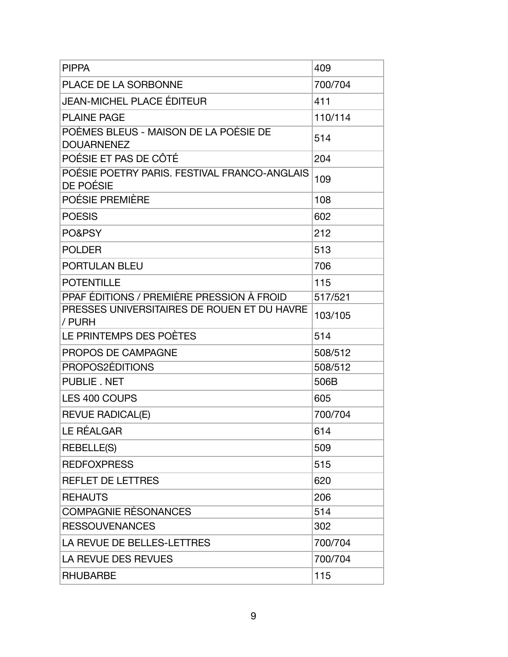| <b>PIPPA</b>                                               | 409     |
|------------------------------------------------------------|---------|
| PLACE DE LA SORBONNE                                       | 700/704 |
| <b>JEAN-MICHEL PLACE ÉDITEUR</b>                           | 411     |
| <b>PLAINE PAGE</b>                                         | 110/114 |
| POÈMES BLEUS - MAISON DE LA POÉSIE DE<br><b>DOUARNENEZ</b> | 514     |
| POÉSIE ET PAS DE CÔTÉ                                      | 204     |
| POÉSIE POETRY PARIS. FESTIVAL FRANCO-ANGLAIS<br>DE POÉSIE  | 109     |
| POÉSIE PREMIÈRE                                            | 108     |
| <b>POESIS</b>                                              | 602     |
| PO&PSY                                                     | 212     |
| <b>POLDER</b>                                              | 513     |
| <b>PORTULAN BLEU</b>                                       | 706     |
| <b>POTENTILLE</b>                                          | 115     |
| PPAF ÉDITIONS / PREMIÈRE PRESSION À FROID                  | 517/521 |
| PRESSES UNIVERSITAIRES DE ROUEN ET DU HAVRE<br>/ PURH      | 103/105 |
| LE PRINTEMPS DES POÈTES                                    | 514     |
| PROPOS DE CAMPAGNE                                         | 508/512 |
| PROPOS2ÉDITIONS                                            | 508/512 |
| PUBLIE. NET                                                | 506B    |
| LES 400 COUPS                                              | 605     |
| <b>REVUE RADICAL(E)</b>                                    | 700/704 |
| LE RÉALGAR                                                 | 614     |
| <b>REBELLE(S)</b>                                          | 509     |
| <b>REDFOXPRESS</b>                                         | 515     |
| <b>REFLET DE LETTRES</b>                                   | 620     |
| <b>REHAUTS</b>                                             | 206     |
| <b>COMPAGNIE RÉSONANCES</b>                                | 514     |
| <b>RESSOUVENANCES</b>                                      | 302     |
| LA REVUE DE BELLES-LETTRES                                 | 700/704 |
| LA REVUE DES REVUES                                        | 700/704 |
| <b>RHUBARBE</b>                                            | 115     |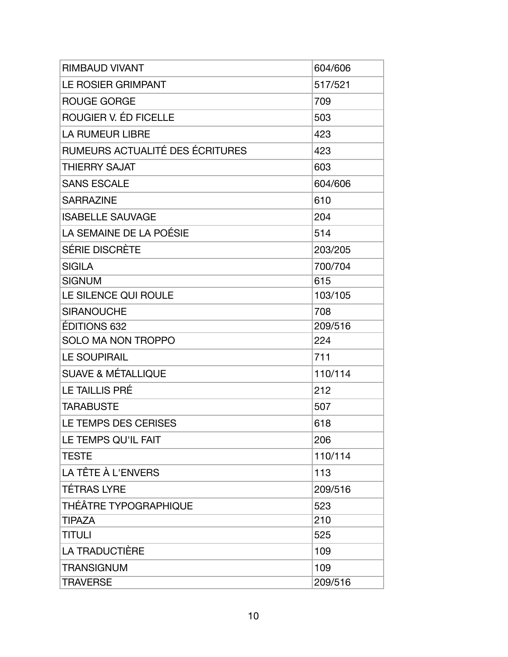| <b>RIMBAUD VIVANT</b>           | 604/606 |
|---------------------------------|---------|
| LE ROSIER GRIMPANT              | 517/521 |
| <b>ROUGE GORGE</b>              | 709     |
| ROUGIER V. ÉD FICELLE           | 503     |
| <b>LA RUMEUR LIBRE</b>          | 423     |
| RUMEURS ACTUALITÉ DES ÉCRITURES | 423     |
| <b>THIERRY SAJAT</b>            | 603     |
| <b>SANS ESCALE</b>              | 604/606 |
| <b>SARRAZINE</b>                | 610     |
| <b>ISABELLE SAUVAGE</b>         | 204     |
| LA SEMAINE DE LA POÉSIE         | 514     |
| SÉRIE DISCRÈTE                  | 203/205 |
| <b>SIGILA</b>                   | 700/704 |
| <b>SIGNUM</b>                   | 615     |
| LE SILENCE QUI ROULE            | 103/105 |
| <b>SIRANOUCHE</b>               | 708     |
| <b>ÉDITIONS 632</b>             | 209/516 |
| <b>SOLO MA NON TROPPO</b>       | 224     |
| <b>LE SOUPIRAIL</b>             | 711     |
| <b>SUAVE &amp; MÉTALLIQUE</b>   | 110/114 |
| <b>LE TAILLIS PRÉ</b>           | 212     |
| <b>TARABUSTE</b>                | 507     |
| LE TEMPS DES CERISES            | 618     |
| LE TEMPS QU'IL FAIT             | 206     |
| <b>TESTE</b>                    | 110/114 |
| LA TÊTE À L'ENVERS              | 113     |
| <b>TÉTRAS LYRE</b>              | 209/516 |
| THÉÂTRE TYPOGRAPHIQUE           | 523     |
| <b>TIPAZA</b>                   | 210     |
| <b>TITULI</b>                   | 525     |
| LA TRADUCTIÈRE                  | 109     |
| <b>TRANSIGNUM</b>               | 109     |
| <b>TRAVERSE</b>                 | 209/516 |